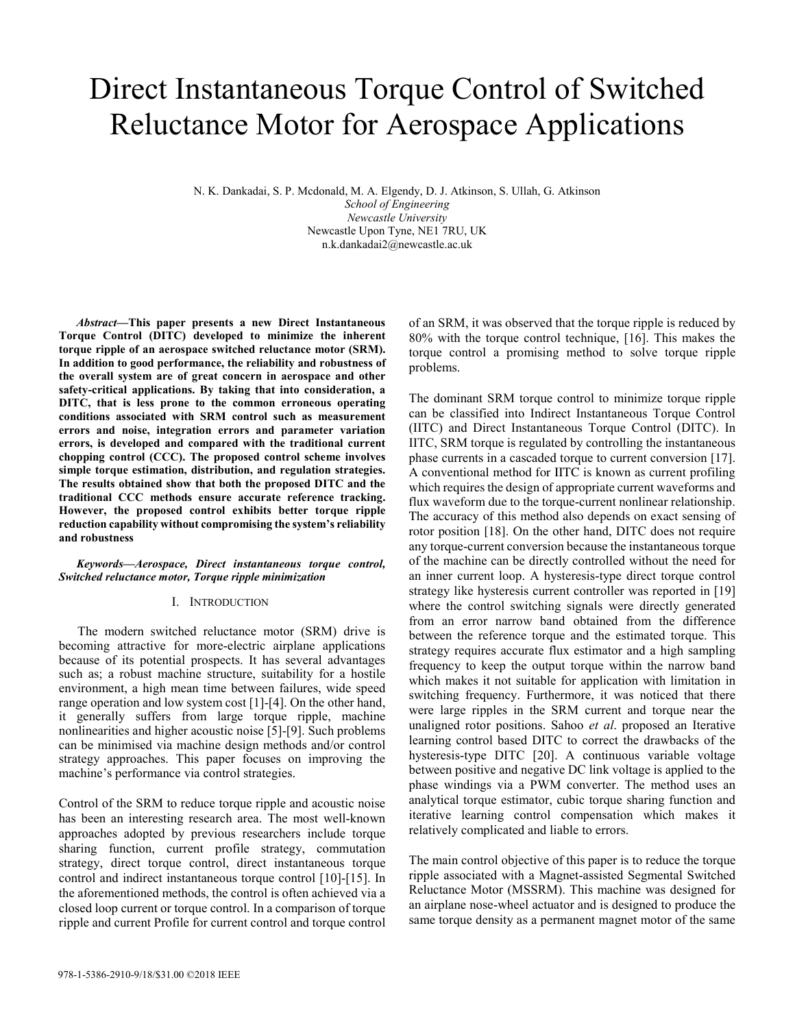# Direct Instantaneous Torque Control of Switched Reluctance Motor for Aerospace Applications

N. K. Dankadai, S. P. Mcdonald, M. A. Elgendy, D. J. Atkinson, S. Ullah, G. Atkinson *School of Engineering Newcastle University*  Newcastle Upon Tyne, NE1 7RU, UK n.k.dankadai2@newcastle.ac.uk

*Abstract***—This paper presents a new Direct Instantaneous Torque Control (DITC) developed to minimize the inherent torque ripple of an aerospace switched reluctance motor (SRM). In addition to good performance, the reliability and robustness of the overall system are of great concern in aerospace and other safety-critical applications. By taking that into consideration, a DITC, that is less prone to the common erroneous operating conditions associated with SRM control such as measurement errors and noise, integration errors and parameter variation errors, is developed and compared with the traditional current chopping control (CCC). The proposed control scheme involves simple torque estimation, distribution, and regulation strategies. The results obtained show that both the proposed DITC and the traditional CCC methods ensure accurate reference tracking. However, the proposed control exhibits better torque ripple reduction capability without compromising the system's reliability and robustness**

#### *Keywords—Aerospace, Direct instantaneous torque control, Switched reluctance motor, Torque ripple minimization*

# I. INTRODUCTION

The modern switched reluctance motor (SRM) drive is becoming attractive for more-electric airplane applications because of its potential prospects. It has several advantages such as; a robust machine structure, suitability for a hostile environment, a high mean time between failures, wide speed range operation and low system cost [1]-[4]. On the other hand, it generally suffers from large torque ripple, machine nonlinearities and higher acoustic noise [5]-[9]. Such problems can be minimised via machine design methods and/or control strategy approaches. This paper focuses on improving the machine's performance via control strategies.

Control of the SRM to reduce torque ripple and acoustic noise has been an interesting research area. The most well-known approaches adopted by previous researchers include torque sharing function, current profile strategy, commutation strategy, direct torque control, direct instantaneous torque control and indirect instantaneous torque control [10]-[15]. In the aforementioned methods, the control is often achieved via a closed loop current or torque control. In a comparison of torque ripple and current Profile for current control and torque control of an SRM, it was observed that the torque ripple is reduced by 80% with the torque control technique, [16]. This makes the torque control a promising method to solve torque ripple problems.

The dominant SRM torque control to minimize torque ripple can be classified into Indirect Instantaneous Torque Control (IITC) and Direct Instantaneous Torque Control (DITC). In IITC, SRM torque is regulated by controlling the instantaneous phase currents in a cascaded torque to current conversion [17]. A conventional method for IITC is known as current profiling which requires the design of appropriate current waveforms and flux waveform due to the torque-current nonlinear relationship. The accuracy of this method also depends on exact sensing of rotor position [18]. On the other hand, DITC does not require any torque-current conversion because the instantaneous torque of the machine can be directly controlled without the need for an inner current loop. A hysteresis-type direct torque control strategy like hysteresis current controller was reported in [19] where the control switching signals were directly generated from an error narrow band obtained from the difference between the reference torque and the estimated torque. This strategy requires accurate flux estimator and a high sampling frequency to keep the output torque within the narrow band which makes it not suitable for application with limitation in switching frequency. Furthermore, it was noticed that there were large ripples in the SRM current and torque near the unaligned rotor positions. Sahoo *et al*. proposed an Iterative learning control based DITC to correct the drawbacks of the hysteresis-type DITC [20]. A continuous variable voltage between positive and negative DC link voltage is applied to the phase windings via a PWM converter. The method uses an analytical torque estimator, cubic torque sharing function and iterative learning control compensation which makes it relatively complicated and liable to errors.

The main control objective of this paper is to reduce the torque ripple associated with a Magnet-assisted Segmental Switched Reluctance Motor (MSSRM). This machine was designed for an airplane nose-wheel actuator and is designed to produce the same torque density as a permanent magnet motor of the same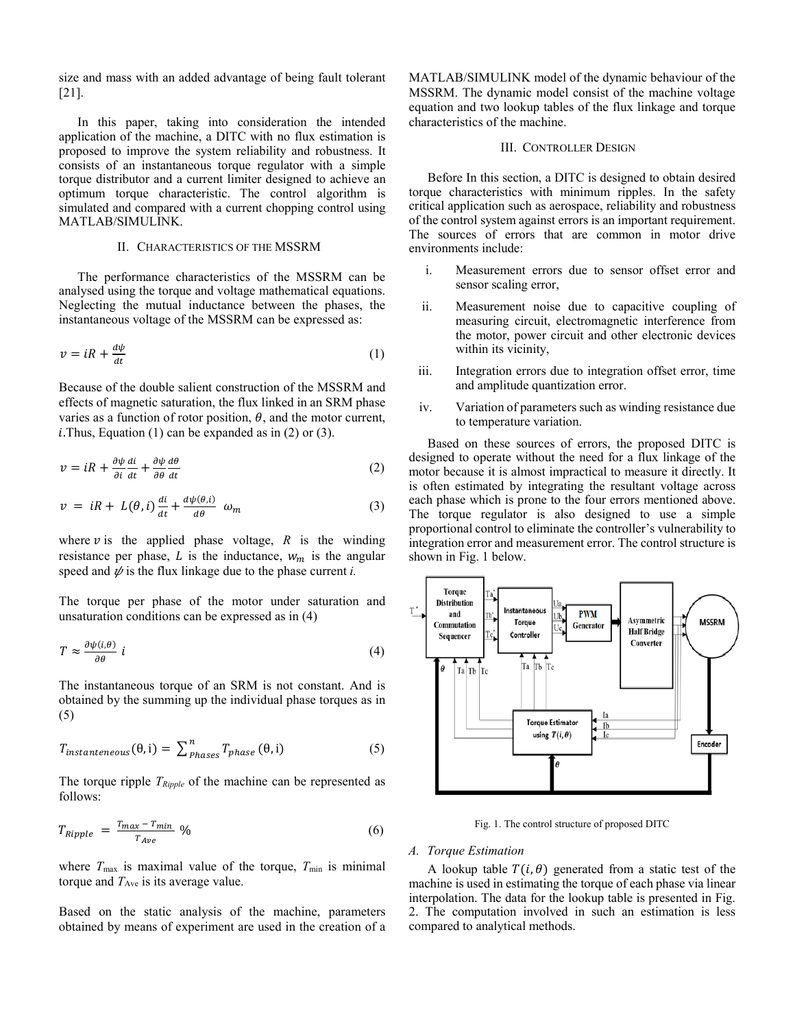size and mass with an added advantage of being fault tolerant [21].

In this paper, taking into consideration the intended application of the machine, a DITC with no flux estimation is proposed to improve the system reliability and robustness. It consists of an instantaneous torque regulator with a simple torque distributor and a current limiter designed to achieve an optimum torque characteristic. The control algorithm is simulated and compared with a current chopping control using MATLAB/SIMULINK.

# II. CHARACTERISTICS OF THE MSSRM

The performance characteristics of the MSSRM can be analysed using the torque and voltage mathematical equations. Neglecting the mutual inductance between the phases, the instantaneous voltage of the MSSRM can be expressed as:

$$
v = iR + \frac{dv}{dt} \tag{1}
$$

Because of the double salient construction of the MSSRM and effects of magnetic saturation, the flux linked in an SRM phase varies as a function of rotor position,  $\theta$ , and the motor current, *i*.Thus, Equation (1) can be expanded as in (2) or (3).

$$
v = iR + \frac{\partial \psi}{\partial i} \frac{di}{dt} + \frac{\partial \psi}{\partial \theta} \frac{d\theta}{dt}
$$
 (2)

$$
v = iR + L(\theta, i)\frac{di}{dt} + \frac{d\psi(\theta, i)}{d\theta} \omega_m \tag{3}
$$

where  $\nu$  is the applied phase voltage,  $R$  is the winding resistance per phase,  $L$  is the inductance,  $w_m$  is the angular speed and  $\psi$  is the flux linkage due to the phase current *i*.

The torque per phase of the motor under saturation and unsaturation conditions can be expressed as in (4)

$$
T \approx \frac{\partial \psi(i,\theta)}{\partial \theta} \ i \tag{4}
$$

The instantaneous torque of an SRM is not constant. And is obtained by the summing up the individual phase torques as in (5)

$$
T_{instanteneous}(\theta, i) = \sum_{Phases}^{n} T_{phase}(\theta, i)
$$
 (5)

The torque ripple *T<sub>Ripple</sub>* of the machine can be represented as follows:

$$
T_{Ripple} = \frac{T_{max} - T_{min}}{T_{Ave}} \% \tag{6}
$$

where  $T_{\text{max}}$  is maximal value of the torque,  $T_{\text{min}}$  is minimal torque and  $T_{\text{Ave}}$  is its average value.

Based on the static analysis of the machine, parameters obtained by means of experiment are used in the creation of a MATLAB/SIMULINK model of the dynamic behaviour of the MSSRM. The dynamic model consist of the machine voltage equation and two lookup tables of the flux linkage and torque characteristics of the machine.

### III. CONTROLLER DESIGN

Before In this section, a DITC is designed to obtain desired torque characteristics with minimum ripples. In the safety critical application such as aerospace, reliability and robustness of the control system against errors is an important requirement. The sources of errors that are common in motor drive environments include:

- i. Measurement errors due to sensor offset error and sensor scaling error,
- ii. Measurement noise due to capacitive coupling of measuring circuit, electromagnetic interference from the motor, power circuit and other electronic devices within its vicinity,
- iii. Integration errors due to integration offset error, time and amplitude quantization error.
- iv. Variation of parameters such as winding resistance due to temperature variation.

Based on these sources of errors, the proposed DITC is designed to operate without the need for a flux linkage of the motor because it is almost impractical to measure it directly. It is often estimated by integrating the resultant voltage across each phase which is prone to the four errors mentioned above. The torque regulator is also designed to use a simple proportional control to eliminate the controller's vulnerability to integration error and measurement error. The control structure is shown in Fig. 1 below.



Fig. 1. The control structure of proposed DITC

### *A. Torque Estimation*

A lookup table  $T(i, \theta)$  generated from a static test of the machine is used in estimating the torque of each phase via linear interpolation. The data for the lookup table is presented in Fig. 2. The computation involved in such an estimation is less compared to analytical methods.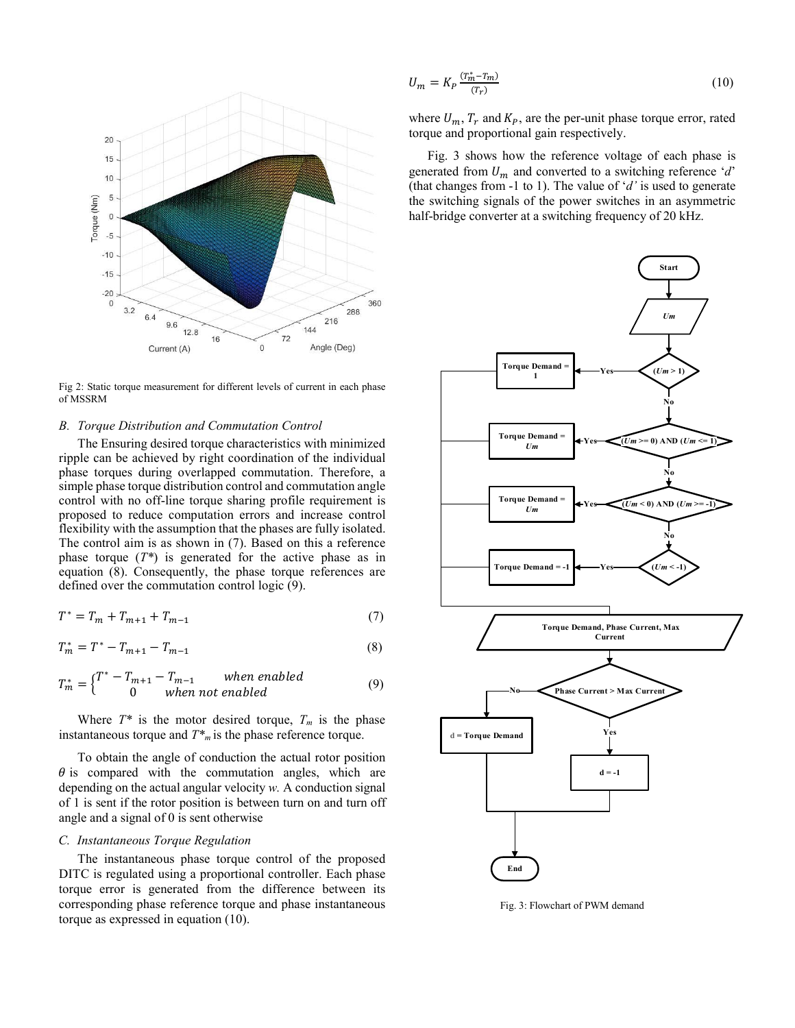

Fig 2: Static torque measurement for different levels of current in each phase of MSSRM

# *B. Torque Distribution and Commutation Control*

The Ensuring desired torque characteristics with minimized ripple can be achieved by right coordination of the individual phase torques during overlapped commutation. Therefore, a simple phase torque distribution control and commutation angle control with no off-line torque sharing profile requirement is proposed to reduce computation errors and increase control flexibility with the assumption that the phases are fully isolated. The control aim is as shown in (7). Based on this a reference phase torque (*T\**) is generated for the active phase as in equation (8). Consequently, the phase torque references are defined over the commutation control logic (9).

$$
T^* = T_m + T_{m+1} + T_{m-1}
$$
\n(7)

$$
T_m^* = T^* - T_{m+1} - T_{m-1}
$$
\n(8)

$$
T_m^* = \begin{cases} T^* - T_{m+1} - T_{m-1} & \text{when enabled} \\ 0 & \text{when not enabled} \end{cases}
$$
 (9)

Where  $T^*$  is the motor desired torque,  $T_m$  is the phase instantaneous torque and  $T^*$ <sup>m</sup> is the phase reference torque.

To obtain the angle of conduction the actual rotor position  $\theta$  is compared with the commutation angles, which are depending on the actual angular velocity *w.* A conduction signal of 1 is sent if the rotor position is between turn on and turn off angle and a signal of 0 is sent otherwise

# *C. Instantaneous Torque Regulation*

The instantaneous phase torque control of the proposed DITC is regulated using a proportional controller. Each phase torque error is generated from the difference between its corresponding phase reference torque and phase instantaneous torque as expressed in equation (10).

$$
U_m = K_P \frac{(T_m^* - T_m)}{(T_r)}
$$
\n(10)

where  $U_m$ ,  $T_r$  and  $K_p$ , are the per-unit phase torque error, rated torque and proportional gain respectively.

Fig. 3 shows how the reference voltage of each phase is generated from  $U_m$  and converted to a switching reference '*d*' (that changes from -1 to 1). The value of '*d'* is used to generate the switching signals of the power switches in an asymmetric half-bridge converter at a switching frequency of 20 kHz.



Fig. 3: Flowchart of PWM demand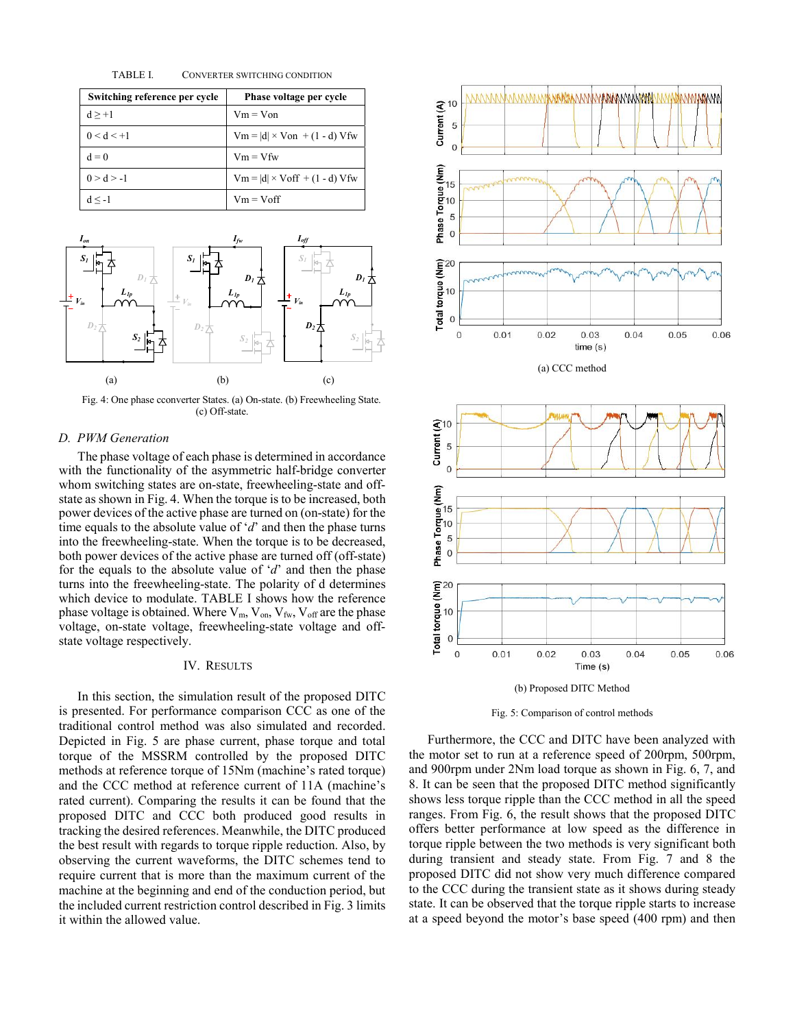TABLE I. CONVERTER SWITCHING CONDITION

| Switching reference per cycle | Phase voltage per cycle               |
|-------------------------------|---------------------------------------|
| $d > +1$                      | $Vm = Von$                            |
| $0 < d < +1$                  | $Vm =  d  \times Von + (1 - d) Vfw$   |
| $d = 0$                       | $Vm = Vfw$                            |
| $0 > d > -1$                  | $Vm =  d  \times V$ off + (1 - d) Vfw |
| $d \le -1$                    | $Vm = V \text{off}$                   |



Fig. 4: One phase cconverter States. (a) On-state. (b) Freewheeling State. (c) Off-state.

#### *D. PWM Generation*

The phase voltage of each phase is determined in accordance with the functionality of the asymmetric half-bridge converter whom switching states are on-state, freewheeling-state and offstate as shown in Fig. 4. When the torque is to be increased, both power devices of the active phase are turned on (on-state) for the time equals to the absolute value of '*d*' and then the phase turns into the freewheeling-state. When the torque is to be decreased, both power devices of the active phase are turned off (off-state) for the equals to the absolute value of '*d*' and then the phase turns into the freewheeling-state. The polarity of d determines which device to modulate. TABLE I shows how the reference phase voltage is obtained. Where  $V_m$ ,  $V_{on}$ ,  $V_{fw}$ ,  $V_{off}$  are the phase voltage, on-state voltage, freewheeling-state voltage and offstate voltage respectively.

#### IV. RESULTS

In this section, the simulation result of the proposed DITC is presented. For performance comparison CCC as one of the traditional control method was also simulated and recorded. Depicted in Fig. 5 are phase current, phase torque and total torque of the MSSRM controlled by the proposed DITC methods at reference torque of 15Nm (machine's rated torque) and the CCC method at reference current of 11A (machine's rated current). Comparing the results it can be found that the proposed DITC and CCC both produced good results in tracking the desired references. Meanwhile, the DITC produced the best result with regards to torque ripple reduction. Also, by observing the current waveforms, the DITC schemes tend to require current that is more than the maximum current of the machine at the beginning and end of the conduction period, but the included current restriction control described in Fig. 3 limits it within the allowed value.



Fig. 5: Comparison of control methods

Furthermore, the CCC and DITC have been analyzed with the motor set to run at a reference speed of 200rpm, 500rpm, and 900rpm under 2Nm load torque as shown in Fig. 6, 7, and 8. It can be seen that the proposed DITC method significantly shows less torque ripple than the CCC method in all the speed ranges. From Fig. 6, the result shows that the proposed DITC offers better performance at low speed as the difference in torque ripple between the two methods is very significant both during transient and steady state. From Fig. 7 and 8 the proposed DITC did not show very much difference compared to the CCC during the transient state as it shows during steady state. It can be observed that the torque ripple starts to increase at a speed beyond the motor's base speed (400 rpm) and then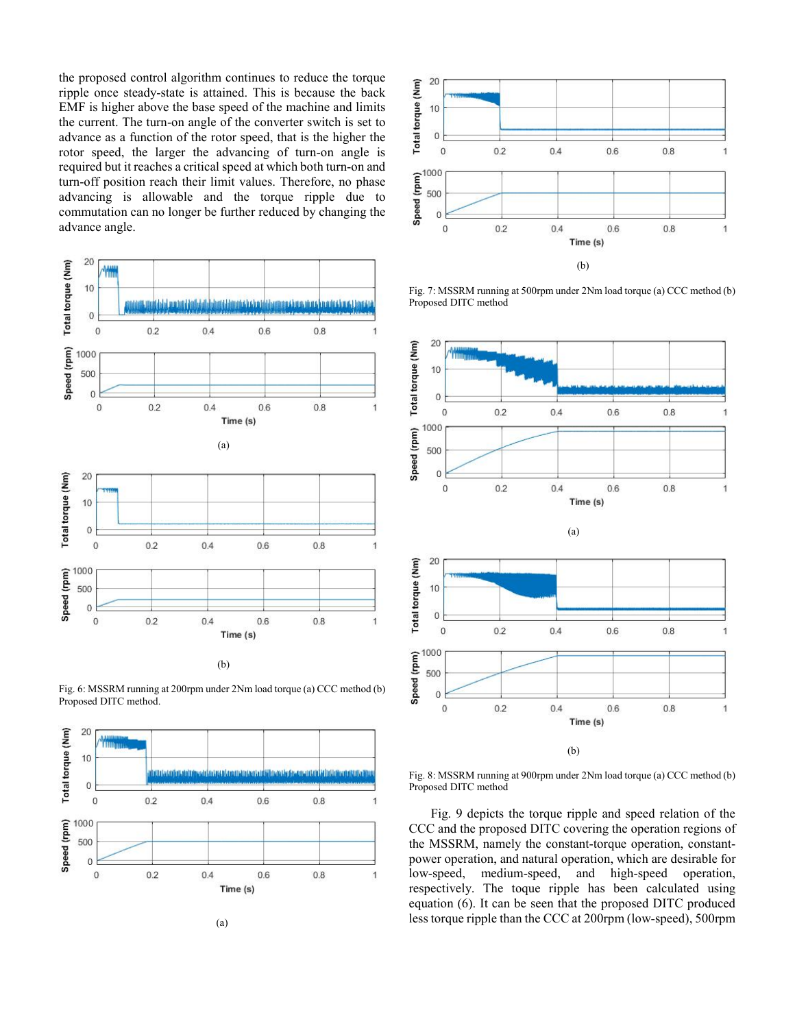the proposed control algorithm continues to reduce the torque ripple once steady-state is attained. This is because the back EMF is higher above the base speed of the machine and limits the current. The turn-on angle of the converter switch is set to advance as a function of the rotor speed, that is the higher the rotor speed, the larger the advancing of turn-on angle is required but it reaches a critical speed at which both turn-on and turn-off position reach their limit values. Therefore, no phase advancing is allowable and the torque ripple due to commutation can no longer be further reduced by changing the advance angle.



Fig. 6: MSSRM running at 200rpm under 2Nm load torque (a) CCC method (b) Proposed DITC method.







Fig. 7: MSSRM running at 500rpm under 2Nm load torque (a) CCC method (b) Proposed DITC method



Fig. 8: MSSRM running at 900rpm under 2Nm load torque (a) CCC method (b) Proposed DITC method

 Fig. 9 depicts the torque ripple and speed relation of the CCC and the proposed DITC covering the operation regions of the MSSRM, namely the constant-torque operation, constantpower operation, and natural operation, which are desirable for low-speed, medium-speed, and high-speed operation, respectively. The toque ripple has been calculated using equation (6). It can be seen that the proposed DITC produced less torque ripple than the CCC at 200rpm (low-speed), 500rpm